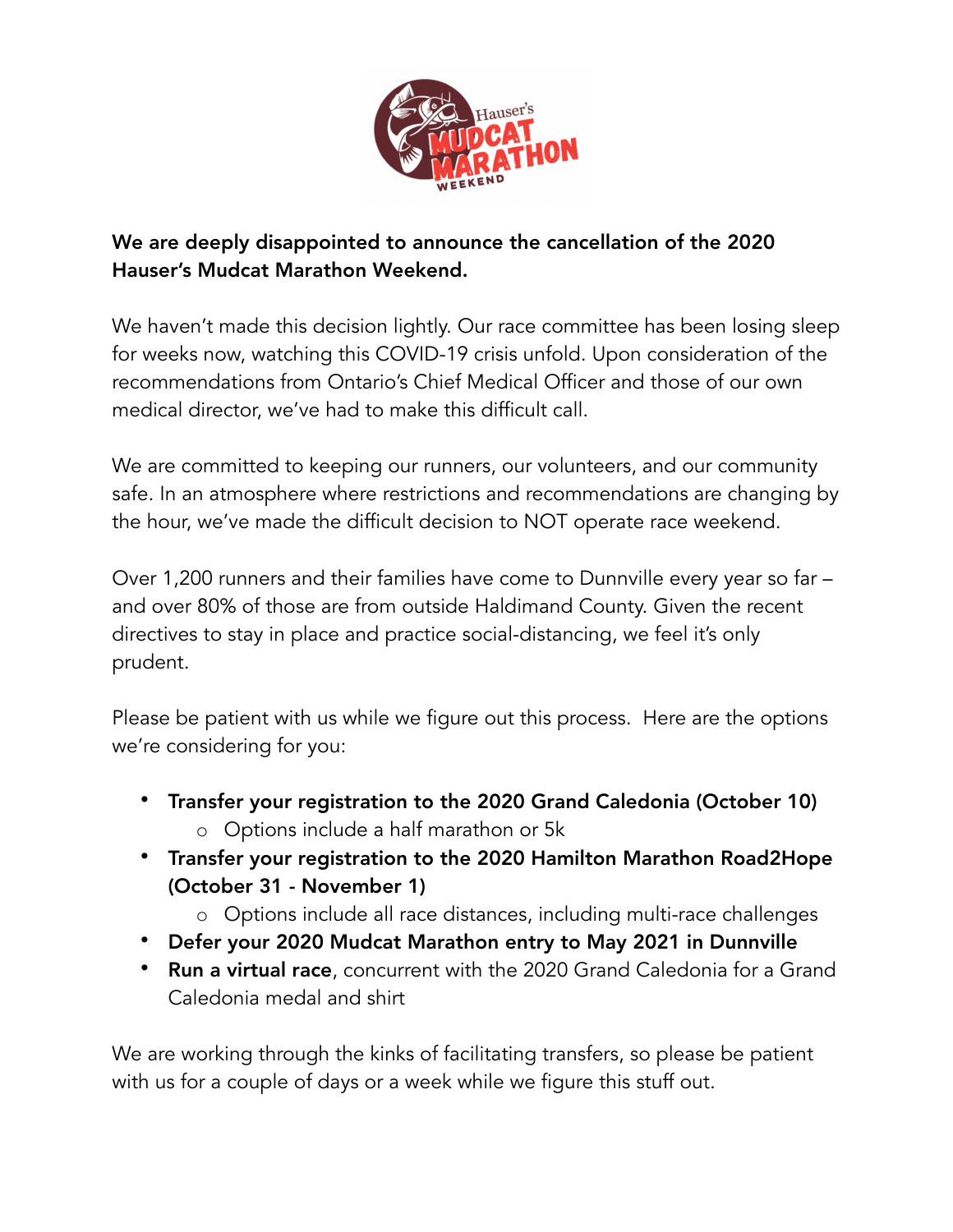

## We are deeply disappointed to announce the cancellation of the 2020 Hauser's Mudcat Marathon Weekend.

We haven't made this decision lightly. Our race committee has been losing sleep for weeks now, watching this COVID-19 crisis unfold. Upon consideration of the recommendations from Ontario's Chief Medical Officer and those of our own medical director, we've had to make this difficult call.

We are committed to keeping our runners, our volunteers, and our community safe. In an atmosphere where restrictions and recommendations are changing by the hour, we've made the difficult decision to NOT operate race weekend.

Over 1,200 runners and their families have come to Dunnville every year so far – and over 80% of those are from outside Haldimand County. Given the recent directives to stay in place and practice social-distancing, we feel it's only prudent.

Please be patient with us while we figure out this process. Here are the options we're considering for you:

- Transfer your registration to the 2020 Grand Caledonia (October 10) o Options include a half marathon or 5k
- Transfer your registration to the 2020 Hamilton Marathon Road2Hope (October 31 - November 1)
	- o Options include all race distances, including multi-race challenges
- Defer your 2020 Mudcat Marathon entry to May 2021 in Dunnville
- Run a virtual race, concurrent with the 2020 Grand Caledonia for a Grand Caledonia medal and shirt

We are working through the kinks of facilitating transfers, so please be patient with us for a couple of days or a week while we figure this stuff out.